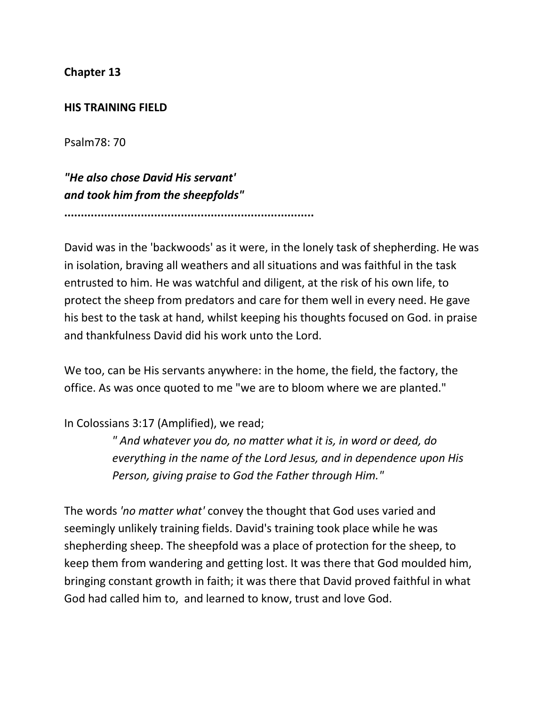## **Chapter 13**

## **HIS TRAINING FIELD**

Psalm78: 70

*"He also chose David His servant' and took him from the sheepfolds"* 

**...........................................................................** 

David was in the 'backwoods' as it were, in the lonely task of shepherding. He was in isolation, braving all weathers and all situations and was faithful in the task entrusted to him. He was watchful and diligent, at the risk of his own life, to protect the sheep from predators and care for them well in every need. He gave his best to the task at hand, whilst keeping his thoughts focused on God. in praise and thankfulness David did his work unto the Lord.

We too, can be His servants anywhere: in the home, the field, the factory, the office. As was once quoted to me "we are to bloom where we are planted."

## In Colossians 3:17 (Amplified), we read;

 *" And whatever you do, no matter what it is, in word or deed, do everything in the name of the Lord Jesus, and in dependence upon His Person, giving praise to God the Father through Him."* 

The words *'no matter what'* convey the thought that God uses varied and seemingly unlikely training fields. David's training took place while he was shepherding sheep. The sheepfold was a place of protection for the sheep, to keep them from wandering and getting lost. It was there that God moulded him, bringing constant growth in faith; it was there that David proved faithful in what God had called him to, and learned to know, trust and love God.